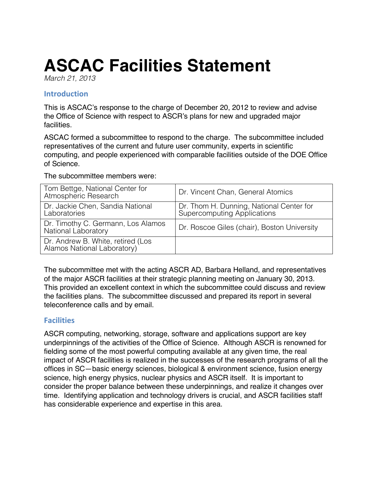# **ASCAC Facilities Statement**

*March 21, 2013* 

## **Introduction**

 This is ASCAC's response to the charge of December 20, 2012 to review and advise the Office of Science with respect to ASCR's plans for new and upgraded major **facilities** 

 ASCAC formed a subcommittee to respond to the charge. The subcommittee included representatives of the current and future user community, experts in scientific computing, and people experienced with comparable facilities outside of the DOE Office of Science.

The subcommittee members were:

| Tom Bettge, National Center for<br>Atmospheric Research          | Dr. Vincent Chan, General Atomics                                       |
|------------------------------------------------------------------|-------------------------------------------------------------------------|
| Dr. Jackie Chen, Sandia National<br>Laboratories                 | Dr. Thom H. Dunning, National Center for<br>Supercomputing Applications |
| Dr. Timothy C. Germann, Los Alamos<br>National Laboratory        | Dr. Roscoe Giles (chair), Boston University                             |
| Dr. Andrew B. White, retired (Los<br>Alamos National Laboratory) |                                                                         |

 The subcommittee met with the acting ASCR AD, Barbara Helland, and representatives of the major ASCR facilities at their strategic planning meeting on January 30, 2013. This provided an excellent context in which the subcommittee could discuss and review the facilities plans. The subcommittee discussed and prepared its report in several teleconference calls and by email.

## **Facilities**

 ASCR computing, networking, storage, software and applications support are key underpinnings of the activities of the Office of Science. Although ASCR is renowned for fielding some of the most powerful computing available at any given time, the real impact of ASCR facilities is realized in the successes of the research programs of all the offices in SC—basic energy sciences, biological & environment science, fusion energy science, high energy physics, nuclear physics and ASCR itself. It is important to consider the proper balance between these underpinnings, and realize it changes over time. Identifying application and technology drivers is crucial, and ASCR facilities staff has considerable experience and expertise in this area.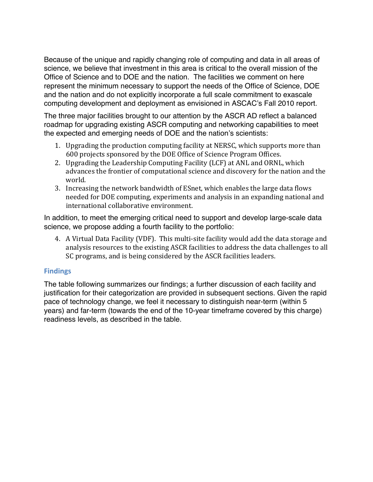Because of the unique and rapidly changing role of computing and data in all areas of science, we believe that investment in this area is critical to the overall mission of the Office of Science and to DOE and the nation. The facilities we comment on here represent the minimum necessary to support the needs of the Office of Science, DOE and the nation and do not explicitly incorporate a full scale commitment to exascale computing development and deployment as envisioned in ASCAC's Fall 2010 report.

 The three major facilities brought to our attention by the ASCR AD reflect a balanced roadmap for upgrading existing ASCR computing and networking capabilities to meet the expected and emerging needs of DOE and the nation's scientists:

- 1. Upgrading the production computing facility at NERSC, which supports more than 600 projects sponsored by the DOE Office of Science Program Offices.
- 2. Upgrading the Leadership Computing Facility (LCF) at ANL and ORNL, which advances the frontier of computational science and discovery for the nation and the world.
- needed for DOE computing, experiments and analysis in an expanding national and 3. Increasing the network bandwidth of ESnet, which enables the large data flows international collaborative environment.

 In addition, to meet the emerging critical need to support and develop large-scale data science, we propose adding a fourth facility to the portfolio:

4. A Virtual Data Facility (VDF). This multi-site facility would add the data storage and analysis resources to the existing ASCR facilities to address the data challenges to all SC programs, and is being considered by the ASCR facilities leaders.

## **Findings**

 The table following summarizes our findings; a further discussion of each facility and justification for their categorization are provided in subsequent sections. Given the rapid pace of technology change, we feel it necessary to distinguish near-term (within 5 years) and far-term (towards the end of the 10-year timeframe covered by this charge) readiness levels, as described in the table.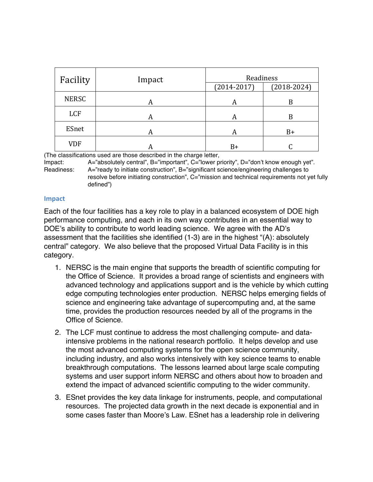| Facility     | Impact | Readiness       |               |
|--------------|--------|-----------------|---------------|
|              |        | $(2014 - 2017)$ | $(2018-2024)$ |
| <b>NERSC</b> | A      | A               | B             |
| LCF          | A      | A               | B             |
| ESnet        | А      | A               | $B+$          |
| <b>VDF</b>   |        | B+              |               |

(The classifications used are those described in the charge letter,

Impact: Readiness: A="ready to initiate construction", B="significant science/engineering challenges to resolve before initiating construction", C="mission and technical requirements not yet fully A="absolutely central", B="important", C="lower priority", D="don't know enough yet". defined")

#### **Impact**

 Each of the four facilities has a key role to play in a balanced ecosystem of DOE high performance computing, and each in its own way contributes in an essential way to DOE's ability to contribute to world leading science. We agree with the AD's assessment that the facilities she identified (1-3) are in the highest "(A): absolutely central" category. We also believe that the proposed Virtual Data Facility is in this category.

- 1. NERSC is the main engine that supports the breadth of scientific computing for the Office of Science. It provides a broad range of scientists and engineers with advanced technology and applications support and is the vehicle by which cutting edge computing technologies enter production. NERSC helps emerging fields of science and engineering take advantage of supercomputing and, at the same time, provides the production resources needed by all of the programs in the Office of Science.
- 2. The LCF must continue to address the most challenging compute- and data- intensive problems in the national research portfolio. It helps develop and use the most advanced computing systems for the open science community, including industry, and also works intensively with key science teams to enable breakthrough computations. The lessons learned about large scale computing systems and user support inform NERSC and others about how to broaden and extend the impact of advanced scientific computing to the wider community.
- 3. ESnet provides the key data linkage for instruments, people, and computational resources. The projected data growth in the next decade is exponential and in some cases faster than Moore's Law. ESnet has a leadership role in delivering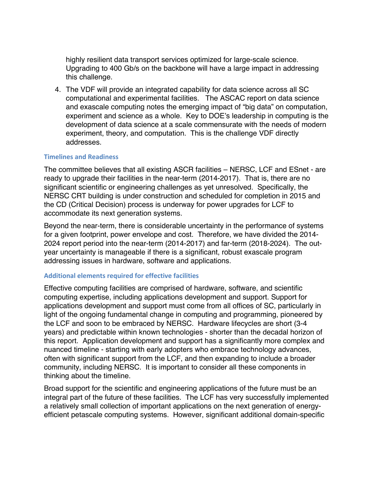highly resilient data transport services optimized for large-scale science. Upgrading to 400 Gb/s on the backbone will have a large impact in addressing this challenge.

 4. The VDF will provide an integrated capability for data science across all SC computational and experimental facilities. The ASCAC report on data science and exascale computing notes the emerging impact of "big data" on computation, experiment and science as a whole. Key to DOE's leadership in computing is the development of data science at a scale commensurate with the needs of modern experiment, theory, and computation. This is the challenge VDF directly addresses.

#### **Timelines and Readiness**

 The committee believes that all existing ASCR facilities – NERSC, LCF and ESnet - are ready to upgrade their facilities in the near-term (2014-2017). That is, there are no significant scientific or engineering challenges as yet unresolved. Specifically, the NERSC CRT building is under construction and scheduled for completion in 2015 and the CD (Critical Decision) process is underway for power upgrades for LCF to accommodate its next generation systems.

 Beyond the near-term, there is considerable uncertainty in the performance of systems for a given footprint, power envelope and cost. Therefore, we have divided the 2014- 2024 report period into the near-term (2014-2017) and far-term (2018-2024). The out- year uncertainty is manageable if there is a significant, robust exascale program addressing issues in hardware, software and applications.

#### **Additional elements required for effective facilities**

 Effective computing facilities are comprised of hardware, software, and scientific computing expertise, including applications development and support. Support for applications development and support must come from all offices of SC, particularly in light of the ongoing fundamental change in computing and programming, pioneered by the LCF and soon to be embraced by NERSC. Hardware lifecycles are short (3-4 years) and predictable within known technologies - shorter than the decadal horizon of this report. Application development and support has a significantly more complex and nuanced timeline - starting with early adopters who embrace technology advances, often with significant support from the LCF, and then expanding to include a broader community, including NERSC. It is important to consider all these components in thinking about the timeline.

 Broad support for the scientific and engineering applications of the future must be an integral part of the future of these facilities. The LCF has very successfully implemented a relatively small collection of important applications on the next generation of energy-efficient petascale computing systems. However, significant additional domain-specific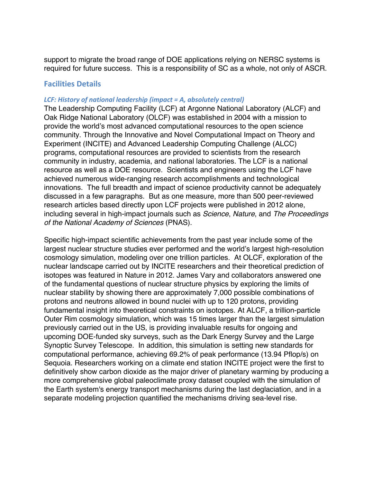support to migrate the broad range of DOE applications relying on NERSC systems is required for future success. This is a responsibility of SC as a whole, not only of ASCR.

## **Facilities Details**

#### *LCF: History of national leadership (impact = A, absolutely central)*

 The Leadership Computing Facility (LCF) at Argonne National Laboratory (ALCF) and Oak Ridge National Laboratory (OLCF) was established in 2004 with a mission to provide the world's most advanced computational resources to the open science community. Through the Innovative and Novel Computational Impact on Theory and Experiment (INCITE) and Advanced Leadership Computing Challenge (ALCC) programs, computational resources are provided to scientists from the research community in industry, academia, and national laboratories. The LCF is a national resource as well as a DOE resource. Scientists and engineers using the LCF have achieved numerous wide-ranging research accomplishments and technological innovations. The full breadth and impact of science productivity cannot be adequately discussed in a few paragraphs. But as one measure, more than 500 peer-reviewed research articles based directly upon LCF projects were published in 2012 alone, including several in high-impact journals such as *Science*, *Nature*, and *The Proceedings of the National Academy of Sciences* (PNAS).

 Specific high-impact scientific achievements from the past year include some of the largest nuclear structure studies ever performed and the world's largest high-resolution cosmology simulation, modeling over one trillion particles. At OLCF, exploration of the nuclear landscape carried out by INCITE researchers and their theoretical prediction of isotopes was featured in Nature in 2012. James Vary and collaborators answered one of the fundamental questions of nuclear structure physics by exploring the limits of nuclear stability by showing there are approximately 7,000 possible combinations of protons and neutrons allowed in bound nuclei with up to 120 protons, providing fundamental insight into theoretical constraints on isotopes. At ALCF, a trillion-particle Outer Rim cosmology simulation, which was 15 times larger than the largest simulation previously carried out in the US, is providing invaluable results for ongoing and upcoming DOE-funded sky surveys, such as the Dark Energy Survey and the Large Synoptic Survey Telescope. In addition, this simulation is setting new standards for computational performance, achieving 69.2% of peak performance (13.94 Pflop/s) on Sequoia. Researchers working on a climate end station INCITE project were the first to definitively show carbon dioxide as the major driver of planetary warming by producing a more comprehensive global paleoclimate proxy dataset coupled with the simulation of the Earth system's energy transport mechanisms during the last deglaciation, and in a separate modeling projection quantified the mechanisms driving sea-level rise.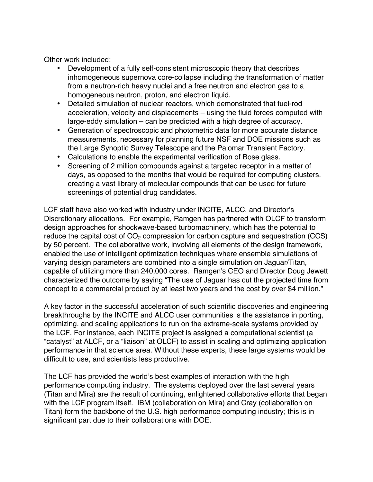Other work included:

- • Development of a fully self-consistent microscopic theory that describes inhomogeneous supernova core-collapse including the transformation of matter from a neutron-rich heavy nuclei and a free neutron and electron gas to a homogeneous neutron, proton, and electron liquid.
- • Detailed simulation of nuclear reactors, which demonstrated that fuel-rod acceleration, velocity and displacements – using the fluid forces computed with large-eddy simulation – can be predicted with a high degree of accuracy.
- • Generation of spectroscopic and photometric data for more accurate distance measurements, necessary for planning future NSF and DOE missions such as the Large Synoptic Survey Telescope and the Palomar Transient Factory.
- Calculations to enable the experimental verification of Bose glass.
- • Screening of 2 million compounds against a targeted receptor in a matter of days, as opposed to the months that would be required for computing clusters, creating a vast library of molecular compounds that can be used for future screenings of potential drug candidates.

 LCF staff have also worked with industry under INCITE, ALCC, and Director's Discretionary allocations. For example, Ramgen has partnered with OLCF to transform design approaches for shockwave-based turbomachinery, which has the potential to reduce the capital cost of  $CO<sub>2</sub>$  compression for carbon capture and sequestration (CCS) by 50 percent. The collaborative work, involving all elements of the design framework, enabled the use of intelligent optimization techniques where ensemble simulations of varying design parameters are combined into a single simulation on Jaguar/Titan, capable of utilizing more than 240,000 cores. Ramgen's CEO and Director Doug Jewett characterized the outcome by saying "The use of Jaguar has cut the projected time from concept to a commercial product by at least two years and the cost by over \$4 million."

 A key factor in the successful acceleration of such scientific discoveries and engineering breakthroughs by the INCITE and ALCC user communities is the assistance in porting, optimizing, and scaling applications to run on the extreme-scale systems provided by the LCF. For instance, each INCITE project is assigned a computational scientist (a "catalyst" at ALCF, or a "liaison" at OLCF) to assist in scaling and optimizing application performance in that science area. Without these experts, these large systems would be difficult to use, and scientists less productive.

 The LCF has provided the world's best examples of interaction with the high performance computing industry. The systems deployed over the last several years (Titan and Mira) are the result of continuing, enlightened collaborative efforts that began with the LCF program itself. IBM (collaboration on Mira) and Cray (collaboration on Titan) form the backbone of the U.S. high performance computing industry; this is in significant part due to their collaborations with DOE.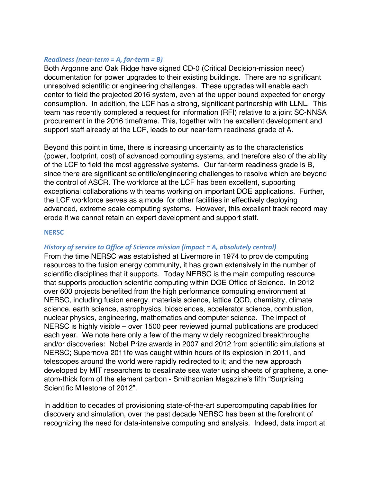#### *Readiness (near-term = A, far-term = B)*

 Both Argonne and Oak Ridge have signed CD-0 (Critical Decision-mission need) documentation for power upgrades to their existing buildings. There are no significant unresolved scientific or engineering challenges. These upgrades will enable each center to field the projected 2016 system, even at the upper bound expected for energy consumption. In addition, the LCF has a strong, significant partnership with LLNL. This team has recently completed a request for information (RFI) relative to a joint SC-NNSA procurement in the 2016 timeframe. This, together with the excellent development and support staff already at the LCF, leads to our near-term readiness grade of A*.* 

 Beyond this point in time, there is increasing uncertainty as to the characteristics (power, footprint, cost) of advanced computing systems, and therefore also of the ability of the LCF to field the most aggressive systems. Our far-term readiness grade is B*,*  since there are significant scientific/engineering challenges to resolve which are beyond the control of ASCR. The workforce at the LCF has been excellent, supporting exceptional collaborations with teams working on important DOE applications. Further, the LCF workforce serves as a model for other facilities in effectively deploying advanced, extreme scale computing systems. However, this excellent track record may erode if we cannot retain an expert development and support staff.

#### **NERSC**

### *<i>History* of service to Office of Science mission (impact = A, absolutely central)

 From the time NERSC was established at Livermore in 1974 to provide computing resources to the fusion energy community, it has grown extensively in the number of scientific disciplines that it supports. Today NERSC is the main computing resource that supports production scientific computing within DOE Office of Science. In 2012 over 600 projects benefited from the high performance computing environment at NERSC, including fusion energy, materials science, lattice QCD, chemistry, climate science, earth science, astrophysics, biosciences, accelerator science, combustion, nuclear physics, engineering, mathematics and computer science. The impact of NERSC is highly visible – over 1500 peer reviewed journal publications are produced each year. We note here only a few of the many widely recognized breakthroughs and/or discoveries: Nobel Prize awards in 2007 and 2012 from scientific simulations at NERSC; Supernova 2011fe was caught within hours of its explosion in 2011, and telescopes around the world were rapidly redirected to it; and the new approach developed by MIT researchers to desalinate sea water using sheets of graphene, a one- atom-thick form of the element carbon - Smithsonian Magazine's fifth "Surprising Scientific Milestone of 2012".

 In addition to decades of provisioning state-of-the-art supercomputing capabilities for discovery and simulation, over the past decade NERSC has been at the forefront of recognizing the need for data-intensive computing and analysis. Indeed, data import at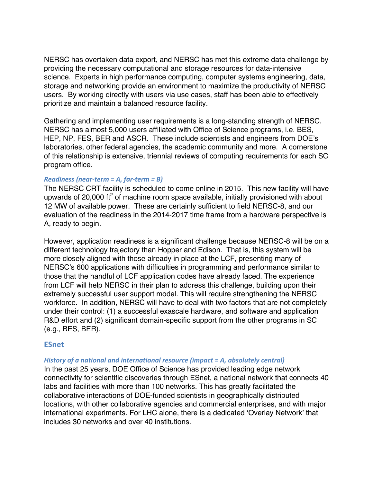NERSC has overtaken data export, and NERSC has met this extreme data challenge by providing the necessary computational and storage resources for data-intensive science. Experts in high performance computing, computer systems engineering, data, storage and networking provide an environment to maximize the productivity of NERSC users. By working directly with users via use cases, staff has been able to effectively prioritize and maintain a balanced resource facility.

 Gathering and implementing user requirements is a long-standing strength of NERSC. NERSC has almost 5,000 users affiliated with Office of Science programs, i.e. BES, HEP, NP, FES, BER and ASCR. These include scientists and engineers from DOE's laboratories, other federal agencies, the academic community and more. A cornerstone of this relationship is extensive, triennial reviews of computing requirements for each SC program office.

### *Readiness (near-term = A, far-term = B)*

 The NERSC CRT facility is scheduled to come online in 2015. This new facility will have upwards of 20,000 ft<sup>2</sup> of machine room space available, initially provisioned with about 12 MW of available power. These are certainly sufficient to field NERSC-8, and our evaluation of the readiness in the 2014-2017 time frame from a hardware perspective is A, ready to begin*.* 

 However, application readiness is a significant challenge because NERSC-8 will be on a different technology trajectory than Hopper and Edison. That is, this system will be more closely aligned with those already in place at the LCF, presenting many of NERSC's 600 applications with difficulties in programming and performance similar to those that the handful of LCF application codes have already faced. The experience from LCF will help NERSC in their plan to address this challenge, building upon their extremely successful user support model. This will require strengthening the NERSC workforce. In addition, NERSC will have to deal with two factors that are not completely under their control: (1) a successful exascale hardware, and software and application R&D effort and (2) significant domain-specific support from the other programs in SC (e.g., BES, BER).

### **ESnet**

#### *History of a national and international resource (impact = A, absolutely central)*

 In the past 25 years, DOE Office of Science has provided leading edge network connectivity for scientific discoveries through ESnet, a national network that connects 40 labs and facilities with more than 100 networks. This has greatly facilitated the collaborative interactions of DOE-funded scientists in geographically distributed locations, with other collaborative agencies and commercial enterprises, and with major international experiments. For LHC alone, there is a dedicated 'Overlay Network' that includes 30 networks and over 40 institutions.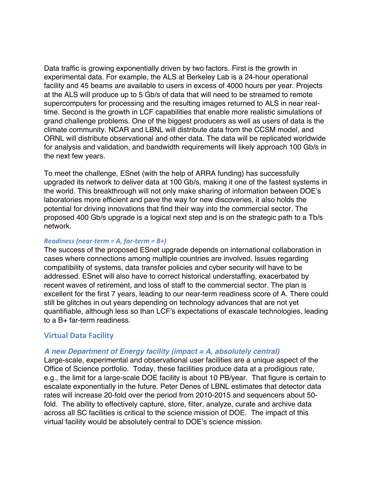Data traffic is growing exponentially driven by two factors. First is the growth in experimental data. For example, the ALS at Berkeley Lab is a 24-hour operational facility and 45 beams are available to users in excess of 4000 hours per year. Projects at the ALS will produce up to 5 Gb/s of data that will need to be streamed to remote supercomputers for processing and the resulting images returned to ALS in near real- time. Second is the growth in LCF capabilities that enable more realistic simulations of grand challenge problems. One of the biggest producers as well as users of data is the climate community. NCAR and LBNL will distribute data from the CCSM model, and ORNL will distribute observational and other data. The data will be replicated worldwide for analysis and validation, and bandwidth requirements will likely approach 100 Gb/s in the next few years.

 To meet the challenge, ESnet (with the help of ARRA funding) has successfully upgraded its network to deliver data at 100 Gb/s, making it one of the fastest systems in the world. This breakthrough will not only make sharing of information between DOE's laboratories more efficient and pave the way for new discoveries, it also holds the potential for driving innovations that find their way into the commercial sector. The proposed 400 Gb/s upgrade is a logical next step and is on the strategic path to a Tb/s network.

#### *Readiness (near-term = A, far-term = B+)*

 The success of the proposed ESnet upgrade depends on international collaboration in cases where connections among multiple countries are involved. Issues regarding compatibility of systems, data transfer policies and cyber security will have to be addressed. ESnet will also have to correct historical understaffing, exacerbated by recent waves of retirement, and loss of staff to the commercial sector. The plan is excellent for the first 7 years, leading to our near-term readiness score of A. There could still be glitches in out years depending on technology advances that are not yet quantifiable, although less so than LCF's expectations of exascale technologies, leading to a B+ far-term readiness.

## **Virtual Data Facility**

### *A new Department of Energy facility (impact = A, absolutely central)*

 Large-scale, experimental and observational user facilities are a unique aspect of the Office of Science portfolio. Today, these facilities produce data at a prodigious rate, e.g., the limit for a large-scale DOE facility is about 10 PB/year. That figure is certain to escalate exponentially in the future. Peter Denes of LBNL estimates that detector data rates will increase 20-fold over the period from 2010-2015 and sequencers about 50- fold. The ability to effectively capture, store, filter, analyze, curate and archive data across all SC facilities is critical to the science mission of DOE. The impact of this virtual facility would be absolutely central to DOE's science mission.